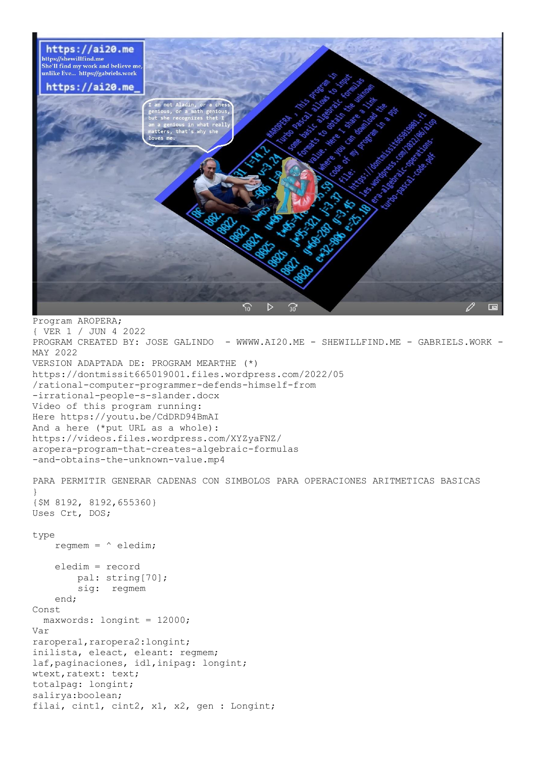

{ VER 1 / JUN 4 2022 PROGRAM CREATED BY: JOSE GALINDO - WWWW.AI20.ME - SHEWILLFIND.ME - GABRIELS.WORK -MAY 2022 VERSION ADAPTADA DE: PROGRAM MEARTHE (\*) https://dontmissit665019001.files.wordpress.com/2022/05 /rational-computer-programmer-defends-himself-from -irrational-people-s-slander.docx Video of this program running: Here https://youtu.be/CdDRD94BmAI And a here (\*put URL as a whole): https://videos.files.wordpress.com/XYZyaFNZ/ aropera-program-that-creates-algebraic-formulas -and-obtains-the-unknown-value.mp4 PARA PERMITIR GENERAR CADENAS CON SIMBOLOS PARA OPERACIONES ARITMETICAS BASICAS

```
}
{$M 8192, 8192,655360}
Uses Crt, DOS;
```
## type

regmem =  $\hat{ }$  eledim;

```
 eledim = record
         pal: string[70];
         sig: regmem
     end;
Const
   maxwords: longint = 12000;
Var
raropera1,raropera2:longint;
inilista, eleact, eleant: regmem;
laf,paginaciones, idl,inipag: longint;
wtext, ratext: text;
totalpag: longint;
salirya:boolean;
filai, cint1, cint2, x1, x2, gen : Longint;
```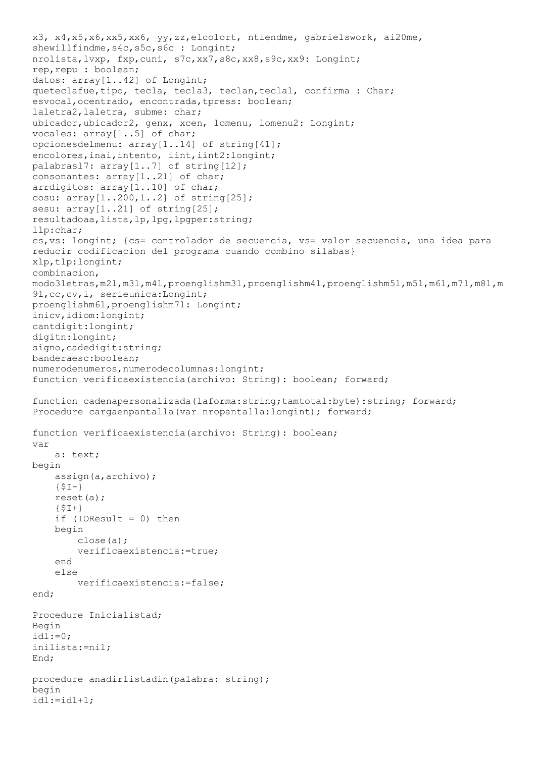```
x3, x4,x5,x6,xx5,xx6, yy,zz,elcolort, ntiendme, gabrielswork, ai20me, 
shewillfindme, s4c, s5c, s6c : Longint;
nrolista,lvxp, fxp,cuni, s7c,xx7,s8c,xx8,s9c,xx9: Longint;
rep,repu : boolean;
datos: array<sup>[1</sup>..42] of Longint;
queteclafue, tipo, tecla, tecla3, teclan, teclal, confirma : Char;
esvocal, ocentrado, encontrada, tpress: boolean;
laletra2,laletra, subme: char;
ubicador, ubicador2, genx, xcen, lomenu, lomenu2: Longint;
vocales: array[1..5] of char;
opcionesdelmenu: array[1..14] of string[41];
encolores, inai, intento, iint, iint2: longint;
palabrasl7: array[1..7] of string[12];
consonantes: array[1..21] of char;
arrdigitos: array[1..10] of char;
cosu: array[1..200,1..2] of string[25];
sesu: array[1..21] of string[25];
resultadoaa,lista,lp,lpg,lpgper:string;
llp:char;
cs,vs: longint; {cs= controlador de secuencia, vs= valor secuencia, una idea para
reducir codificacion del programa cuando combino silabas}
xlp,tlp:longint;
combinacion, 
modo3letras,m2l,m3l,m4l,proenglishm3l,proenglishm4l,proenglishm5l,m5l,m6l,m7l,m8l,m
9l,cc,cv,i, serieunica:Longint;
proenglishm6l,proenglishm7l: Longint;
inicv, idiom: longint;
cantdigit:longint;
digitn:longint;
signo, cadedigit: string;
banderaesc:boolean;
numerodenumeros,numerodecolumnas:longint;
function verificaexistencia(archivo: String): boolean; forward;
function cadenapersonalizada(laforma:string;tamtotal:byte):string; forward;
Procedure cargaenpantalla(var nropantalla:longint); forward;
function verificaexistencia(archivo: String): boolean;
var
     a: text;
begin
     assign(a,archivo);
    {5I-} reset(a);
    {5I+}if (IOResult = 0) then begin
         close(a);
         verificaexistencia:=true;
     end
     else
         verificaexistencia:=false;
end;
Procedure Inicialistad;
Begin
id1:-0:inilista:=nil;
End;
procedure anadirlistadin(palabra: string);
begin
idl:=idl+1;
```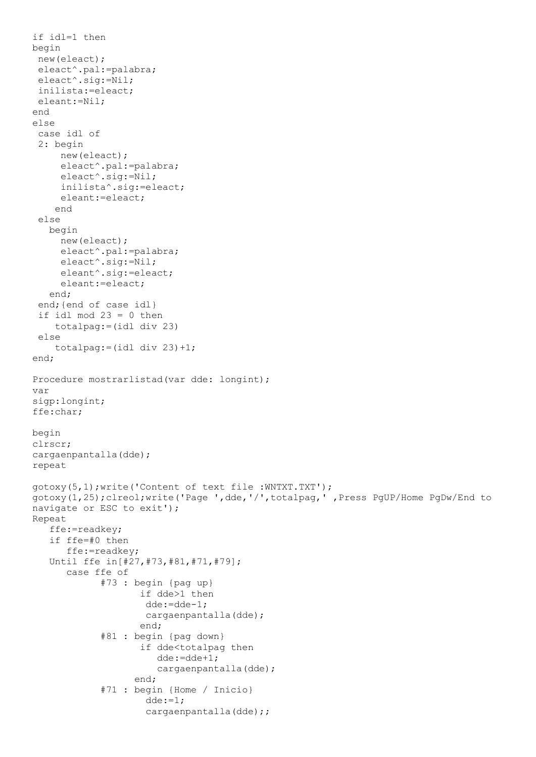```
if idl=1 then
begin
 new(eleact);
 eleact^.pal:=palabra;
 eleact^.sig:=Nil;
 inilista:=eleact;
 eleant:=Nil;
end
else
 case idl of
 2: begin
      new(eleact);
      eleact^.pal:=palabra;
      eleact^.sig:=Nil;
      inilista^.sig:=eleact;
      eleant:=eleact;
     end
 else
    begin
      new(eleact);
      eleact^.pal:=palabra;
      eleact^.sig:=Nil;
      eleant^.sig:=eleact;
      eleant:=eleact;
    end;
 end;{end of case idl}
 if idl mod 23 = 0 then
     totalpag:=(idl div 23)
 else
    totalpag:=(idl div 23)+1;end;
Procedure mostrarlistad(var dde: longint);
var
sigp:longint;
ffe:char;
begin
clrscr;
cargaenpantalla(dde);
repeat
gotoxy(5,1);write('Content of text file :WNTXT.TXT');
gotoxy(1,25);clreol;write('Page ',dde,'/',totalpag,' ,Press PgUP/Home PgDw/End to 
navigate or ESC to exit');
Repeat
    ffe:=readkey;
    if ffe=#0 then
       ffe:=readkey;
    Until ffe in[#27,#73,#81,#71,#79];
       case ffe of
              #73 : begin {pag up}
                     if dde>1 then
                      dde:=dde-1;
                     cargaenpantalla(dde);
                     end;
              #81 : begin {pag down}
                     if dde<totalpag then
                        dde:=dde+1;
                       cargaenpantalla(dde);
                    end;
              #71 : begin {Home / Inicio}
                     dde:=1;cargaenpantalla(dde);;
```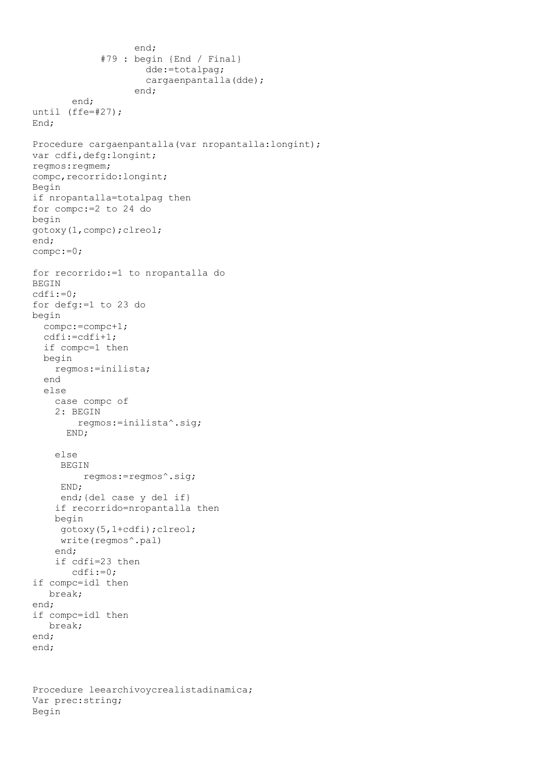```
 end;
              #79 : begin {End / Final}
                      dde:=totalpag;
                     cargaenpantalla(dde);
                    end;
        end;
until (ffe=#27);
End;
Procedure cargaenpantalla(var nropantalla:longint);
var cdfi,defg:longint;
regmos:regmem;
compc, recorrido: longint;
Begin
if nropantalla=totalpag then
for compc:=2 to 24 do
begin
gotoxy(1,compc);clreol;
end;
compc:=0;
for recorrido:=1 to nropantalla do
BEGIN
cdfi:=0;
for defg:=1 to 23 do
begin
   compc:=compc+1;
   cdfi:=cdfi+1;
   if compc=1 then
   begin
     regmos:=inilista;
   end
   else
     case compc of
     2: BEGIN
         regmos:=inilista^.sig;
       END;
     else
      BEGIN
          regmos:=regmos^.sig;
      END;
      end;{del case y del if}
     if recorrido=nropantalla then
     begin
      gotoxy(5,1+cdfi);clreol;
      write(regmos^.pal)
     end;
     if cdfi=23 then
        cdfi:=0;
if compc=idl then
    break;
end;
if compc=idl then
    break;
end;
end;
```

```
Procedure leearchivoycrealistadinamica;
Var prec:string;
Begin
```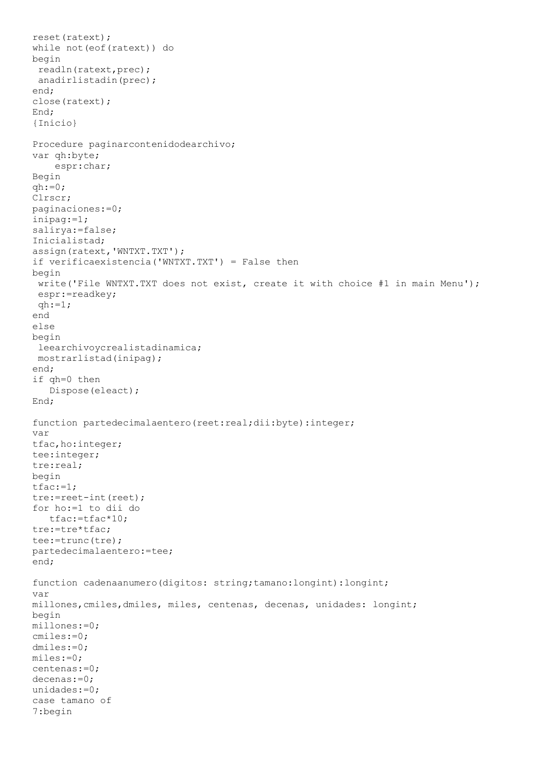```
reset(ratext);
while not(eof(ratext)) do
begin
readln(ratext,prec);
anadirlistadin(prec);
end;
close(ratext);
End;
{Inicio}
Procedure paginarcontenidodearchivo;
var qh:byte;
     espr:char;
Begin
qh:=0;Clrscr;
paginaciones:=0;
inipag:=1;
salirya:=false;
Inicialistad;
assign(ratext,'WNTXT.TXT');
if verificaexistencia('WNTXT.TXT') = False then
begin
write('File WNTXT.TXT does not exist, create it with choice #1 in main Menu');
espr:=readkey;
gh:=1;end
else
begin
leearchivoycrealistadinamica;
mostrarlistad(inipag);
end;
if qh=0 then
    Dispose(eleact);
End;
function partedecimalaentero(reet:real;dii:byte):integer;
var
tfac,ho:integer;
tee:integer;
tre:real;
begin
tfac:=1;tre:=reet-int(reet);
for ho:=1 to dii do
    tfac:=tfac*10;
tre:=tre*tfac;
tee:=trunc(tre);
partedecimalaentero:=tee;
end;
function cadenaanumero(digitos: string;tamano:longint):longint;
var
millones,cmiles,dmiles, miles, centenas, decenas, unidades: longint;
begin
millones:=0;
cmiles:=0;
dmiles:=0;
miles:=0;
centenas:=0;
decenas:=0;
unidades:=0;
case tamano of
7:begin
```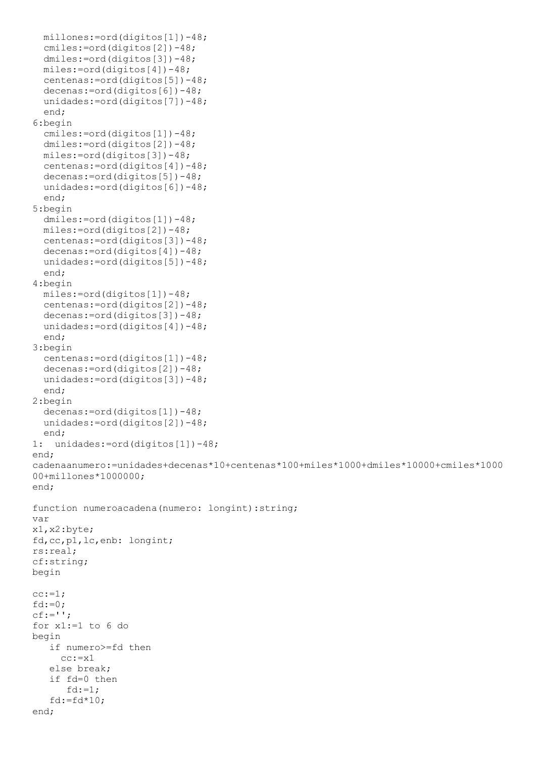```
 millones:=ord(digitos[1])-48;
  cmiles:=ord(digitos[2])-48;
  dmiles:=ord(digitos[3])-48;
   miles:=ord(digitos[4])-48;
   centenas:=ord(digitos[5])-48;
   decenas:=ord(digitos[6])-48;
   unidades:=ord(digitos[7])-48;
   end;
6:begin
  cmiles:=ord(digitos[1])-48;
  dmiles:=ord(digitos[2])-48;
   miles:=ord(digitos[3])-48;
   centenas:=ord(digitos[4])-48;
   decenas:=ord(digitos[5])-48;
   unidades:=ord(digitos[6])-48;
   end;
5:begin
  dmiles:=ord(digitos[1])-48;
   miles:=ord(digitos[2])-48;
  centenas:=ord(digitos[3])-48;
   decenas:=ord(digitos[4])-48;
  unidades:=ord(digitos[5])-48;
   end;
4:begin
   miles:=ord(digitos[1])-48;
   centenas:=ord(digitos[2])-48;
   decenas:=ord(digitos[3])-48;
  unidades:=ord(digitos[4])-48;
   end;
3:begin
  centenas:=ord(digitos[1])-48;
   decenas:=ord(digitos[2])-48;
  unidades:=ord(digitos[3])-48;
   end;
2:begin
   decenas:=ord(digitos[1])-48;
   unidades:=ord(digitos[2])-48;
   end;
1: unidades:=ord(digitos[1])-48;
end;
cadenaanumero:=unidades+decenas*10+centenas*100+miles*1000+dmiles*10000+cmiles*1000
00+millones*1000000;
end;
function numeroacadena(numero: longint):string;
var
x1,x2:byte;
fd,cc,p1,lc,enb: longint;
rs:real;
cf:string;
begin
cc:=1;fd:=0;cf:='';
for x1:=1 to 6 do
begin
    if numero>=fd then
    cc:=x1 else break;
    if fd=0 then
      fd:=1;fd:=fd*10;end;
```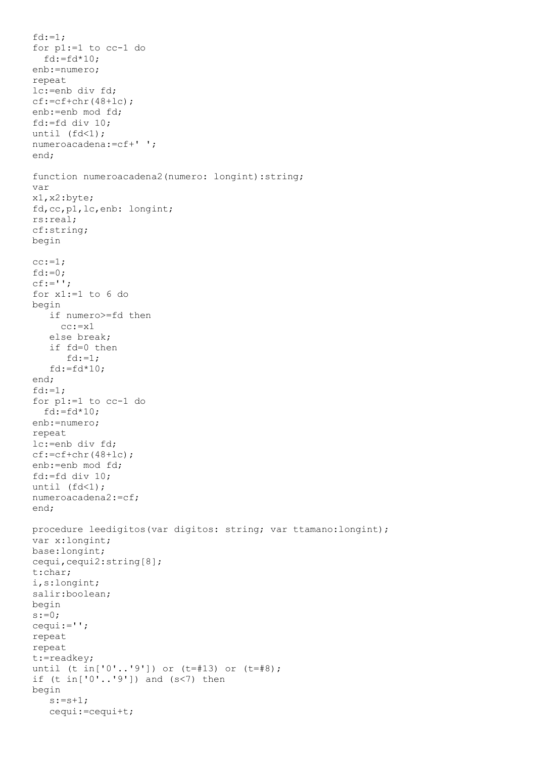```
fd:=1;
for p1:=1 to cc-1 do
  fd:=fd*10;enb:=numero;
repeat
lc:=enb div fd;
cf:=cf+chr(48+lc);
enb:=enb mod fd;
fd:=fd div 10;
until (fd<1);
numeroacadena:=cf+' ';
end;
function numeroacadena2(numero: longint):string;
var
x1,x2:byte;
fd,cc,p1,lc,enb: longint;
rs:real;
cf:string;
begin
cc:=1;fd:=0:
cf:=';
for x1:=1 to 6 do
begin
    if numero>=fd then
    cc:=x1 else break;
    if fd=0 then
      fd:=1;fd:=fd*10;end;
fd:=1;for p1:=1 to cc-1 do
 fd:=fd*10;enb:=numero;
repeat
lc:=enb div fd;
cf:=cf+chr(48+lc);enb:=enb mod fd;
fd:=fd div 10;
until (fd<1);
numeroacadena2:=cf;
end;
procedure leedigitos(var digitos: string; var ttamano:longint);
var x:longint;
base:longint;
cequi,cequi2:string[8];
t:char;
i,s:longint;
salir:boolean;
begin
s:=0;cequi:='';
repeat
repeat
t:=readkey;
until (t in['0'..'9']) or (t=#13) or (t=#8);
if (t in['0'..'9']) and (s<7) then
begin
   s:=s+1; cequi:=cequi+t;
```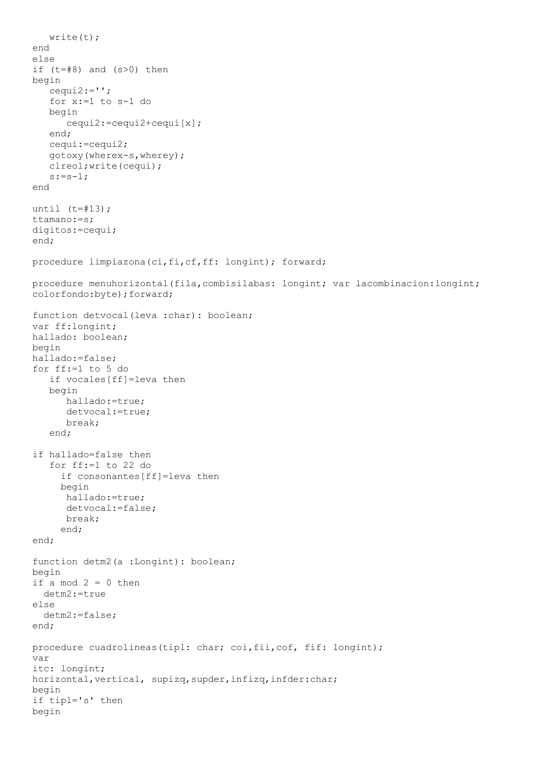```
 write(t);
end
else
if (t=#8) and (s>0) then
begin
    cequi2:='';
    for x:=1 to s-1 do
    begin
       cequi2:=cequi2+cequi[x];
    end;
    cequi:=cequi2;
    gotoxy(wherex-s,wherey);
    clreol;write(cequi);
   s:=s-1;end
until (t=\#13);
ttamano:=s;
digitos:=cequi;
end;
procedure limpiazona(ci,fi,cf,ff: longint); forward;
procedure menuhorizontal(fila,combisilabas: longint; var lacombinacion:longint; 
colorfondo:byte);forward;
function detvocal(leva :char): boolean;
var ff:longint;
hallado: boolean;
begin
hallado:=false;
for ff:=1 to 5 do
   if vocales[ff]=leva then
    begin
       hallado:=true;
       detvocal:=true;
       break;
    end;
if hallado=false then
    for ff:=1 to 22 do
      if consonantes[ff]=leva then
      begin
       hallado:=true;
       detvocal:=false;
       break;
      end;
end;
function detm2(a :Longint): boolean;
begin
if a mod 2 = 0 then
   detm2:=true
else
   detm2:=false;
end;
procedure cuadrolineas(tipl: char; coi,fii,cof, fif: longint);
var
itc: longint;
horizontal, vertical, supizq, supder, infizq, infder: char;
begin
if tipl='s' then
begin
```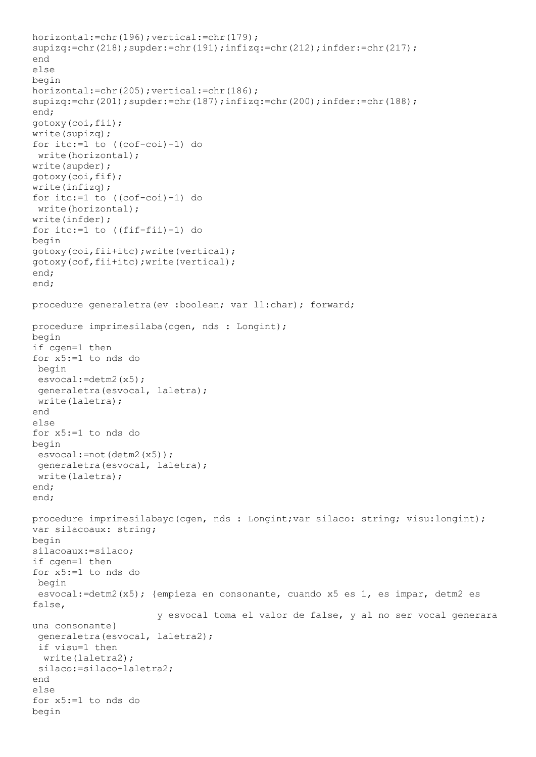```
horizontal:=chr(196);vertical:=chr(179);
supizq:=chr(218);supder:=chr(191);infizq:=chr(212);infder:=chr(217);
end
else
begin
horizontal:=chr(205);vertical:=chr(186);
supizq:=chr(201);supder:=chr(187);infizq:=chr(200);infder:=chr(188);
end;
gotoxy(coi,fii);
write(supizq);
for itc:=1 to ((cof-coi)-1) do
write(horizontal);
write(supder);
gotoxy(coi,fif);
write(infizq);
for itc:=1 to ((cof-coi)-1) do
write(horizontal);
write(infder);
for itc:=1 to ((fif-fii)-1) do
begin
gotoxy(coi,fii+itc);write(vertical);
gotoxy(cof,fii+itc);write(vertical);
end;
end;
procedure generaletra(ev :boolean; var ll:char); forward;
procedure imprimesilaba(cgen, nds : Longint);
begin
if cgen=1 then
for x5:=1 to nds do
begin
esvocal:=detm2(x5);
generaletra(esvocal, laletra);
write(laletra);
end
else
for x5:=1 to nds do
begin
esvocal:=not(detm2(x5));
generaletra(esvocal, laletra);
write(laletra);
end;
end;
procedure imprimesilabayc(cgen, nds : Longint; var silaco: string; visu: longint);
var silacoaux: string;
begin
silacoaux:=silaco;
if cgen=1 then
for x5:=1 to nds do
begin
esvocal:=detm2(x5); {empieza en consonante, cuando x5 es 1, es impar, detm2 es 
false,
                       y esvocal toma el valor de false, y al no ser vocal generara 
una consonante}
 generaletra(esvocal, laletra2);
 if visu=1 then
  write(laletra2);
 silaco:=silaco+laletra2;
end
else
for x5:=1 to nds do
begin
```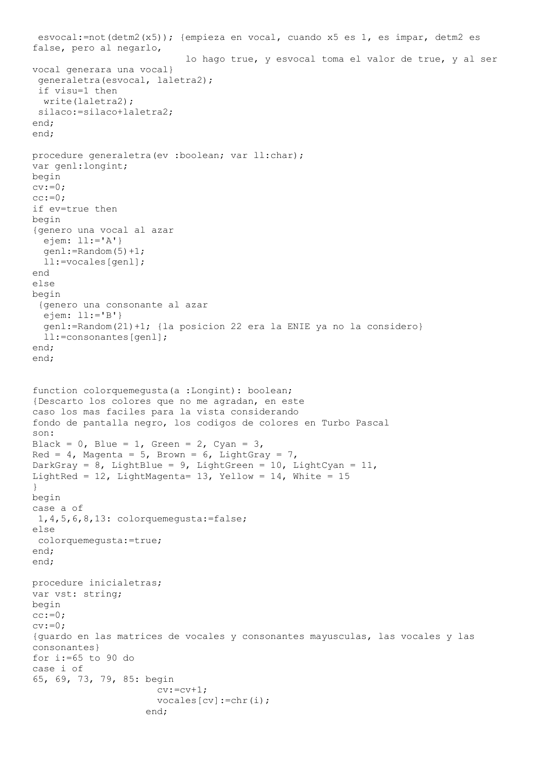```
esvocal:=not(detm2(x5)); {empieza en vocal, cuando x5 es 1, es impar, detm2 es 
false, pero al negarlo,
                             lo hago true, y esvocal toma el valor de true, y al ser 
vocal generara una vocal}
 generaletra(esvocal, laletra2);
 if visu=1 then
  write(laletra2);
 silaco:=silaco+laletra2;
end;
end;
procedure generaletra(ev :boolean; var ll:char);
var genl:longint;
begin
cv:=0;cc:=0;if ev=true then
begin
{genero una vocal al azar
   ejem: ll:='A'}
   genl:=Random(5)+1;
   ll:=vocales[genl];
end
else
begin
 {genero una consonante al azar
 ejem: 11:='B'}
   genl:=Random(21)+1; {la posicion 22 era la ENIE ya no la considero}
   ll:=consonantes[genl];
end;
end;
function colorquemegusta(a :Longint): boolean;
{Descarto los colores que no me agradan, en este
caso los mas faciles para la vista considerando
fondo de pantalla negro, los codigos de colores en Turbo Pascal
son:
Black = 0, Blue = 1, Green = 2, Cyan = 3,
Red = 4, Magenta = 5, Brown = 6, LightGray = 7,
DarkGray = 8, LightBlue = 9, LightGreen = 10, LightCyan = 11,
LightRed = 12, LightMagenta= 13, Yellow = 14, White = 15}
begin
case a of
1,4,5,6,8,13: colorquemegusta:=false;
else
colorquemegusta:=true;
end;
end;
procedure inicialetras;
var vst: string;
begin
cc:=0;cv:=0;
{guardo en las matrices de vocales y consonantes mayusculas, las vocales y las 
consonantes}
for i:=65 to 90 do
case i of
65, 69, 73, 79, 85: begin
                      cv:=cv+1;vocales[cv]:=chr(i);
                     end;
```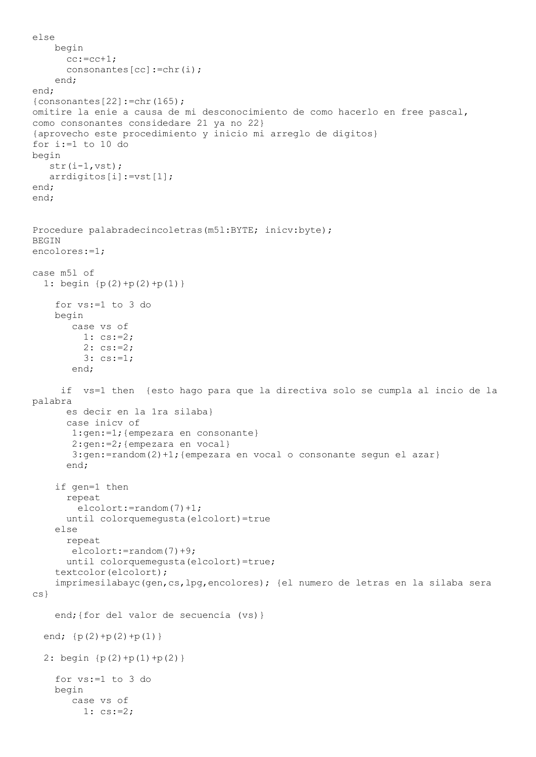```
else
     begin
      cc:=cc+1;consonantes[cc]:=chr(i);
     end;
end;
{consonantes[22]:=chr(165)};omitire la enie a causa de mi desconocimiento de como hacerlo en free pascal,
como consonantes considedare 21 ya no 22}
{aprovecho este procedimiento y inicio mi arreglo de digitos}
for i:=1 to 10 do
begin
    str(i-1,vst);
    arrdigitos[i]:=vst[1];
end;
end;
Procedure palabradecincoletras(m5l:BYTE; inicv:byte);
BEGIN
encolores:=1;
case m5l of
   1: begin {p(2)+p(2)+p(1)}
     for vs:=1 to 3 do
     begin
        case vs of
          1: cs:=2;
         2: cs:=2; 3: cs:=1;
        end;
      if vs=1 then {esto hago para que la directiva solo se cumpla al incio de la 
palabra
       es decir en la 1ra silaba}
       case inicv of
        1:gen:=1;{empezara en consonante}
        2:gen:=2;{empezara en vocal}
        3:gen:=random(2)+1;{empezara en vocal o consonante segun el azar}
       end;
     if gen=1 then
       repeat
         elcolort:=random(7)+1;
       until colorquemegusta(elcolort)=true
     else
       repeat
        elcolort:=random(7)+9;
       until colorquemegusta(elcolort)=true;
     textcolor(elcolort);
     imprimesilabayc(gen,cs,lpg,encolores); {el numero de letras en la silaba sera 
cs}
    end; { for del valor de secuencia (vs) }
  end; {p(2)+p(2)+p(1)}2: begin {p(2)+p(1)+p(2)} for vs:=1 to 3 do
     begin
        case vs of
          1: cs:=2;
```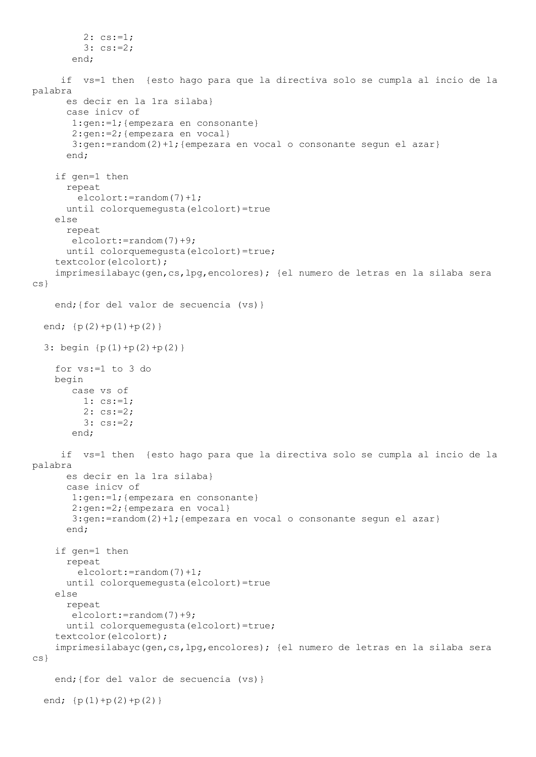```
2: cs:=1; 3: cs:=2;
        end;
      if vs=1 then {esto hago para que la directiva solo se cumpla al incio de la 
palabra
       es decir en la 1ra silaba}
       case inicv of
        1:gen:=1;{empezara en consonante}
        2:gen:=2;{empezara en vocal}
       3:gen:=random(2)+1;{empezara en vocal o consonante segun el azar}
       end;
     if gen=1 then
       repeat
         elcolort:=random(7)+1;
       until colorquemegusta(elcolort)=true
     else
       repeat
        elcolort:=random(7)+9;
       until colorquemegusta(elcolort)=true;
     textcolor(elcolort);
     imprimesilabayc(gen,cs,lpg,encolores); {el numero de letras en la silaba sera 
CS}
     end;{for del valor de secuencia (vs)}
  end; {p(2)+p(1)+p(2)} 3: begin {p(1)+p(2)+p(2)}
     for vs:=1 to 3 do
     begin
        case vs of
         1: cs:=1;2: cs := 2; 3: cs:=2;
        end;
      if vs=1 then {esto hago para que la directiva solo se cumpla al incio de la 
palabra
       es decir en la 1ra silaba}
       case inicv of
        1:gen:=1;{empezara en consonante}
        2:gen:=2;{empezara en vocal}
        3:gen:=random(2)+1;{empezara en vocal o consonante segun el azar}
       end;
     if gen=1 then
       repeat
         elcolort:=random(7)+1;
       until colorquemegusta(elcolort)=true
     else
       repeat
        elcolort:=random(7)+9;
      until colorquemequsta(elcolort)=true;
     textcolor(elcolort);
     imprimesilabayc(gen,cs,lpg,encolores); {el numero de letras en la silaba sera 
cs}
     end;{for del valor de secuencia (vs)}
  end; {p(1)+p(2)+p(2)}
```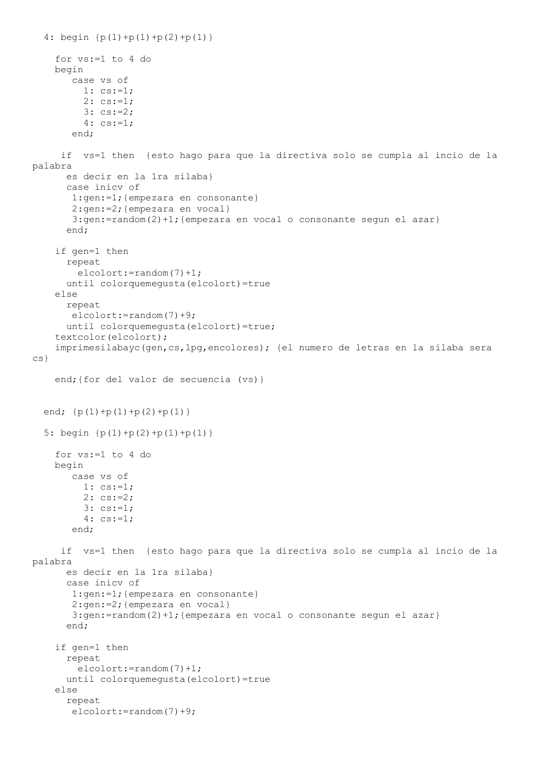```
4: begin {p(1)+p(1)+p(2)+p(1)} for vs:=1 to 4 do
     begin
        case vs of
          1: cs:=1;
          2: cs:=1;
          3: cs:=2;
          4: cs:=1;
        end;
      if vs=1 then {esto hago para que la directiva solo se cumpla al incio de la 
palabra
       es decir en la 1ra silaba}
       case inicv of
        1:gen:=1;{empezara en consonante}
        2:gen:=2;{empezara en vocal}
        3:gen:=random(2)+1;{empezara en vocal o consonante segun el azar}
       end;
     if gen=1 then
       repeat
         elcolort:=random(7)+1;
       until colorquemegusta(elcolort)=true
     else
       repeat
        elcolort:=random(7)+9;
       until colorquemegusta(elcolort)=true;
     textcolor(elcolort);
     imprimesilabayc(gen,cs,lpg,encolores); {el numero de letras en la silaba sera 
cs}
    end; { for del valor de secuencia (vs) }
  end; {p(1)+p(1)+p(2)+p(1)} 5: begin {p(1)+p(2)+p(1)+p(1)}
     for vs:=1 to 4 do
     begin
        case vs of
          1: cs:=1;
         2: cs := 2; 3: cs:=1;
          4: cs:=1;
        end;
      if vs=1 then {esto hago para que la directiva solo se cumpla al incio de la 
palabra
       es decir en la 1ra silaba}
       case inicv of
        1:gen:=1;{empezara en consonante}
        2:gen:=2;{empezara en vocal}
       3:gen:=random(2)+1;{empezara en vocal o consonante segun el azar}
       end;
     if gen=1 then
       repeat
         elcolort:=random(7)+1;
       until colorquemegusta(elcolort)=true
     else
       repeat
        elcolort:=random(7)+9;
```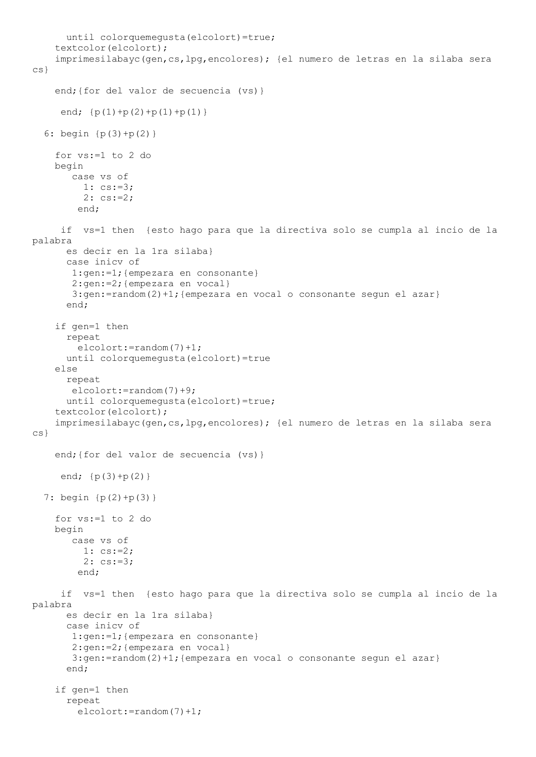```
 until colorquemegusta(elcolort)=true;
     textcolor(elcolort);
     imprimesilabayc(gen,cs,lpg,encolores); {el numero de letras en la silaba sera 
cs}
     end;{for del valor de secuencia (vs)}
     end; {p(1)+p(2)+p(1)+p(1)} 6: begin {p(3)+p(2)}
     for vs:=1 to 2 do
     begin
        case vs of
          1: cs:=3;
          2: cs:=2;
         end;
      if vs=1 then {esto hago para que la directiva solo se cumpla al incio de la 
palabra
       es decir en la 1ra silaba}
       case inicv of
        1:gen:=1;{empezara en consonante}
        2:gen:=2;{empezara en vocal}
        3:gen:=random(2)+1;{empezara en vocal o consonante segun el azar}
       end;
     if gen=1 then
       repeat
         elcolort:=random(7)+1;
       until colorquemegusta(elcolort)=true
     else
       repeat
        elcolort:=random(7)+9;
       until colorquemegusta(elcolort)=true;
     textcolor(elcolort);
     imprimesilabayc(gen,cs,lpg,encolores); {el numero de letras en la silaba sera 
cs}
     end;{for del valor de secuencia (vs)}
     end; {p(3)+p(2)} 7: begin {p(2)+p(3)}
     for vs:=1 to 2 do
     begin
        case vs of
          1: cs:=2;
          2: cs:=3;
         end;
      if vs=1 then {esto hago para que la directiva solo se cumpla al incio de la 
palabra
       es decir en la 1ra silaba}
       case inicv of
        1:gen:=1;{empezara en consonante}
        2:gen:=2;{empezara en vocal}
       3:gen:=random(2)+1;{empezara en vocal o consonante segun el azar}
       end;
     if gen=1 then
       repeat
         elcolort:=random(7)+1;
```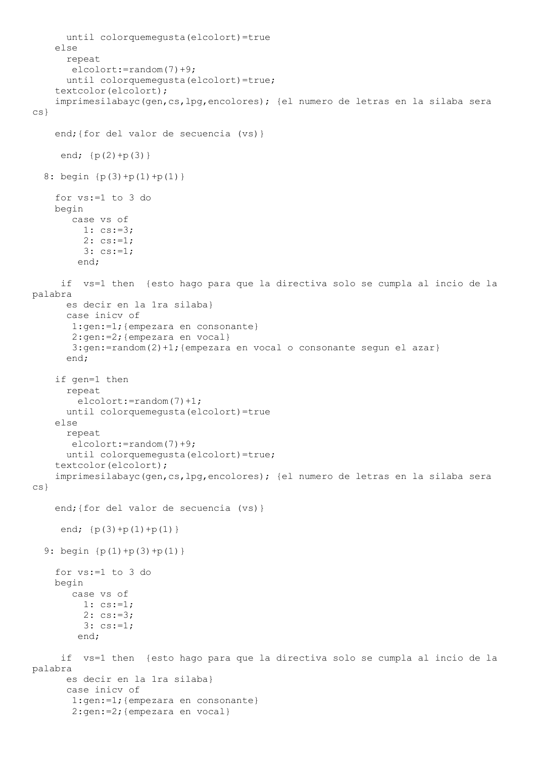```
 until colorquemegusta(elcolort)=true
     else
       repeat
        elcolort:=random(7)+9;
       until colorquemegusta(elcolort)=true;
     textcolor(elcolort);
     imprimesilabayc(gen,cs,lpg,encolores); {el numero de letras en la silaba sera 
cs}
     end;{for del valor de secuencia (vs)}
     end; {p(2)+p(3)}8: begin {p(3)+p(1)+p(1)} for vs:=1 to 3 do
     begin
        case vs of
          1: cs:=3;
         2: cs:=1; 3: cs:=1;
         end;
      if vs=1 then {esto hago para que la directiva solo se cumpla al incio de la 
palabra
       es decir en la 1ra silaba}
       case inicv of
        1:gen:=1;{empezara en consonante}
        2:gen:=2;{empezara en vocal}
       3:gen:=random(2)+1;{empezara en vocal o consonante segun el azar}
       end;
     if gen=1 then
       repeat
         elcolort:=random(7)+1;
       until colorquemegusta(elcolort)=true
     else
       repeat
        elcolort:=random(7)+9;
       until colorquemegusta(elcolort)=true;
     textcolor(elcolort);
     imprimesilabayc(gen,cs,lpg,encolores); {el numero de letras en la silaba sera 
cs}
     end;{for del valor de secuencia (vs)}
     end; {p(3)+p(1)+p(1)} 9: begin {p(1)+p(3)+p(1)}
     for vs:=1 to 3 do
     begin
        case vs of
          1: cs:=1;
          2: cs:=3;
          3: cs:=1;
         end;
      if vs=1 then {esto hago para que la directiva solo se cumpla al incio de la 
palabra
       es decir en la 1ra silaba}
       case inicv of
        1:gen:=1;{empezara en consonante}
        2:gen:=2;{empezara en vocal}
```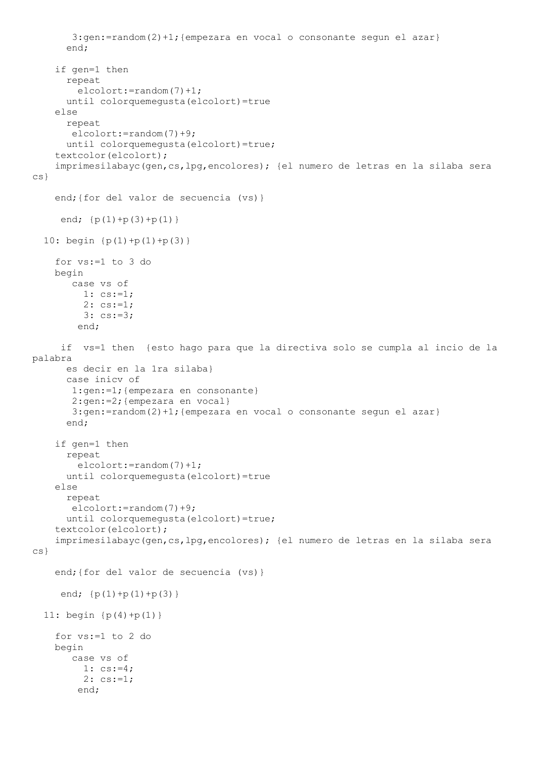```
3:gen:=random(2)+1; {empezara en vocal o consonante segun el azar}
       end;
     if gen=1 then
       repeat
         elcolort:=random(7)+1;
       until colorquemegusta(elcolort)=true
     else
       repeat
        elcolort:=random(7)+9;
       until colorquemegusta(elcolort)=true;
     textcolor(elcolort);
     imprimesilabayc(gen,cs,lpg,encolores); {el numero de letras en la silaba sera 
cs}
     end;{for del valor de secuencia (vs)}
     end; {p(1)+p(3)+p(1)} 10: begin {p(1)+p(1)+p(3)}
     for vs:=1 to 3 do
     begin
        case vs of
          1: cs:=1;
         2: cs:=1; 3: cs:=3;
         end;
      if vs=1 then {esto hago para que la directiva solo se cumpla al incio de la 
palabra
       es decir en la 1ra silaba}
       case inicv of
        1:gen:=1;{empezara en consonante}
        2:gen:=2;{empezara en vocal}
        3:gen:=random(2)+1;{empezara en vocal o consonante segun el azar}
       end;
     if gen=1 then
       repeat
         elcolort:=random(7)+1;
       until colorquemegusta(elcolort)=true
     else
       repeat
        elcolort:=random(7)+9;
       until colorquemegusta(elcolort)=true;
     textcolor(elcolort);
     imprimesilabayc(gen,cs,lpg,encolores); {el numero de letras en la silaba sera 
cs}
     end;{for del valor de secuencia (vs)}
     end; {p(1)+p(1)+p(3)}11: begin {p(4)+p(1)} for vs:=1 to 2 do
     begin
        case vs of
         1: cs:=4;2: \text{cs}:=1; end;
```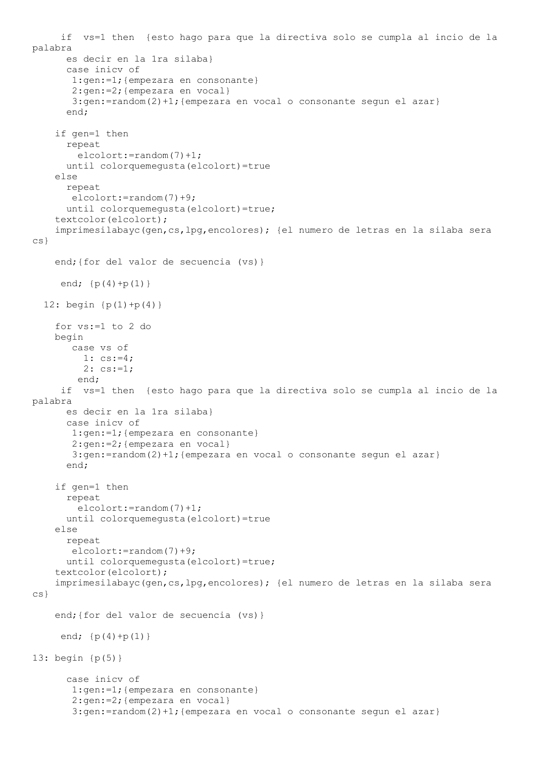```
 if vs=1 then {esto hago para que la directiva solo se cumpla al incio de la 
palabra
       es decir en la 1ra silaba}
       case inicv of
        1:gen:=1;{empezara en consonante}
        2:gen:=2;{empezara en vocal}
        3:gen:=random(2)+1;{empezara en vocal o consonante segun el azar}
       end;
     if gen=1 then
       repeat
         elcolort:=random(7)+1;
       until colorquemegusta(elcolort)=true
     else
       repeat
        elcolort:=random(7)+9;
       until colorquemegusta(elcolort)=true;
     textcolor(elcolort);
     imprimesilabayc(gen,cs,lpg,encolores); {el numero de letras en la silaba sera 
cs}
    end; { for del valor de secuencia (vs) }
     end; {p(4)+p(1)}12: begin {p(1) + p(4)} for vs:=1 to 2 do
     begin
        case vs of
          1: cs:=4;
          2: cs:=1;
         end;
      if vs=1 then {esto hago para que la directiva solo se cumpla al incio de la 
palabra
       es decir en la 1ra silaba}
       case inicv of
        1:gen:=1;{empezara en consonante}
        2:gen:=2;{empezara en vocal}
        3:gen:=random(2)+1;{empezara en vocal o consonante segun el azar}
       end;
     if gen=1 then
       repeat
         elcolort:=random(7)+1;
       until colorquemegusta(elcolort)=true
     else
       repeat
        elcolort:=random(7)+9;
       until colorquemegusta(elcolort)=true;
     textcolor(elcolort);
     imprimesilabayc(gen,cs,lpg,encolores); {el numero de letras en la silaba sera 
cs}
    end; { for del valor de secuencia (vs) }
     end; {p(4)+p(1)}13: begin {p(5)}
       case inicv of
        1:gen:=1;{empezara en consonante}
        2:gen:=2;{empezara en vocal}
        3:gen:=random(2)+1;{empezara en vocal o consonante segun el azar}
```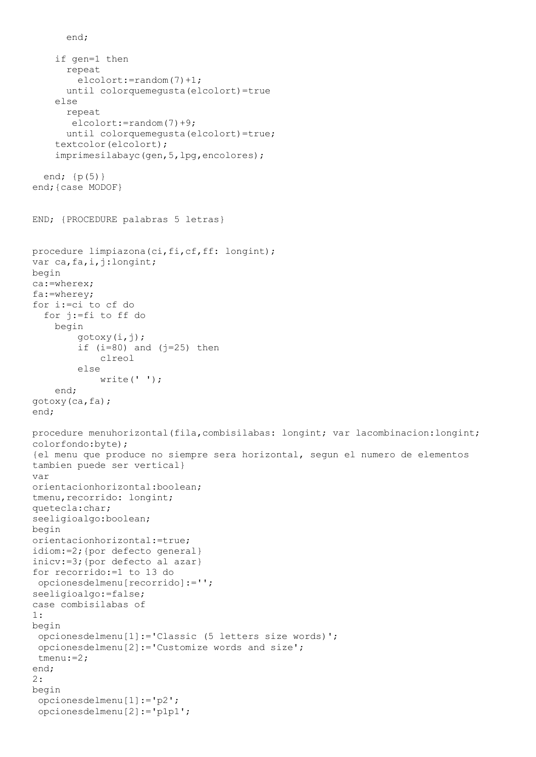```
 if gen=1 then
       repeat
         elcolort:=random(7)+1;
       until colorquemegusta(elcolort)=true
     else
       repeat
        elcolort:=random(7)+9;
       until colorquemegusta(elcolort)=true;
     textcolor(elcolort);
     imprimesilabayc(gen,5,lpg,encolores);
   end; {p(5)}
end;{case MODOF}
END; {PROCEDURE palabras 5 letras}
procedure limpiazona (ci, fi, cf, ff: longint);
var ca, fa, i, j:longint;
begin
ca:=wherex;
fa:=wherey;
for i:=ci to cf do
   for j:=fi to ff do
     begin
         gotoxy(i,j);
        if (i=80) and (j=25) then
             clreol
         else
            write(' '');
     end;
gotoxy(ca,fa);
end;
procedure menuhorizontal(fila,combisilabas: longint; var lacombinacion:longint; 
colorfondo:byte);
{el menu que produce no siempre sera horizontal, segun el numero de elementos
tambien puede ser vertical}
var
orientacionhorizontal:boolean;
tmenu,recorrido: longint;
quetecla:char;
seeligioalgo:boolean;
begin
orientacionhorizontal:=true;
idiom:=2;{por defecto general}
inicv:=3;{por defecto al azar}
for recorrido:=1 to 13 do
opcionesdelmenu[recorrido]:='';
seeligioalgo:=false;
case combisilabas of
1:
begin
 opcionesdelmenu[1]:='Classic (5 letters size words)';
 opcionesdelmenu[2]:='Customize words and size';
 tmenu:=2;
end;
2:
begin
 opcionesdelmenu[1]:='p2';
 opcionesdelmenu[2]:='p1p1';
```
end;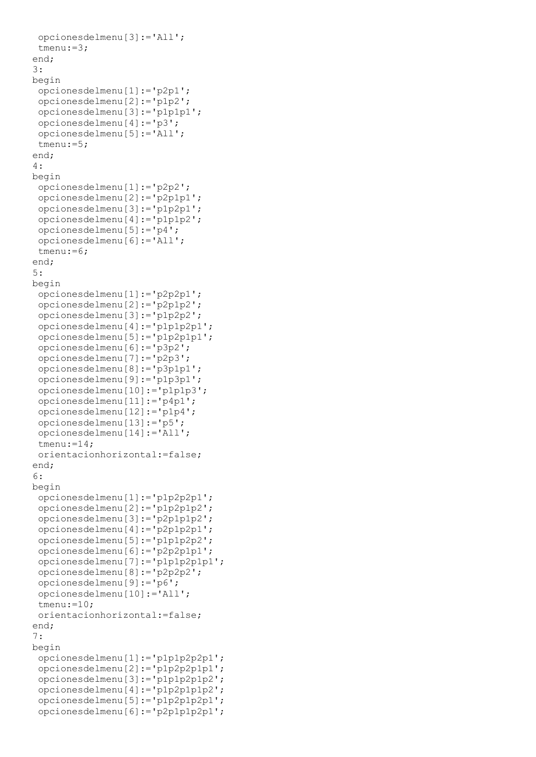```
opcionesdelmenu[3]:='All';
tmenu:=3;
end;
3:
begin
opcionesdelmenu[1]:='p2p1';
opcionesdelmenu[2]:='p1p2';
opcionesdelmenu[3]:='p1p1p1';
opcionesdelmenu[4]:='p3';
opcionesdelmenu[5]:='All';
tmenu:=5;
end;
4:
begin
 opcionesdelmenu[1]:='p2p2';
opcionesdelmenu[2]:='p2p1p1';
opcionesdelmenu[3]:='p1p2p1';
opcionesdelmenu[4]:='p1p1p2';
opcionesdelmenu[5]:='p4';
opcionesdelmenu[6]:='All';
tmenu:=6;
end;
5:
begin
opcionesdelmenu[1]:='p2p2p1';
opcionesdelmenu[2]:='p2p1p2';
opcionesdelmenu[3]:='p1p2p2';
opcionesdelmenu[4]:='p1p1p2p1';
opcionesdelmenu[5]:='p1p2p1p1';
opcionesdelmenu[6]:='p3p2';
opcionesdelmenu[7]:='p2p3';
opcionesdelmenu[8]:='p3p1p1';
opcionesdelmenu[9]:='p1p3p1';
opcionesdelmenu[10]:='p1p1p3';
opcionesdelmenu[11]:='p4p1';
opcionesdelmenu[12]:='p1p4';
opcionesdelmenu[13]:='p5';
opcionesdelmenu[14]:='All';
 tmenu:=14;
orientacionhorizontal:=false;
end;
6:
begin
opcionesdelmenu[1]:='p1p2p2p1';
opcionesdelmenu[2]:='p1p2p1p2';
opcionesdelmenu[3]:='p2p1p1p2';
opcionesdelmenu[4]:='p2p1p2p1';
opcionesdelmenu[5]:='p1p1p2p2';
opcionesdelmenu[6]:='p2p2p1p1';
opcionesdelmenu[7]:='p1p1p2p1p1';
opcionesdelmenu[8]:='p2p2p2';
opcionesdelmenu[9]:='p6';
opcionesdelmenu[10]:='All';
tmenu:=10;
orientacionhorizontal:=false;
end;
7:
begin
opcionesdelmenu[1]:='p1p1p2p2p1';
opcionesdelmenu[2]:='p1p2p2p1p1';
opcionesdelmenu[3]:='p1p1p2p1p2';
opcionesdelmenu[4]:='p1p2p1p1p2';
 opcionesdelmenu[5]:='p1p2p1p2p1';
opcionesdelmenu[6]:='p2p1p1p2p1';
```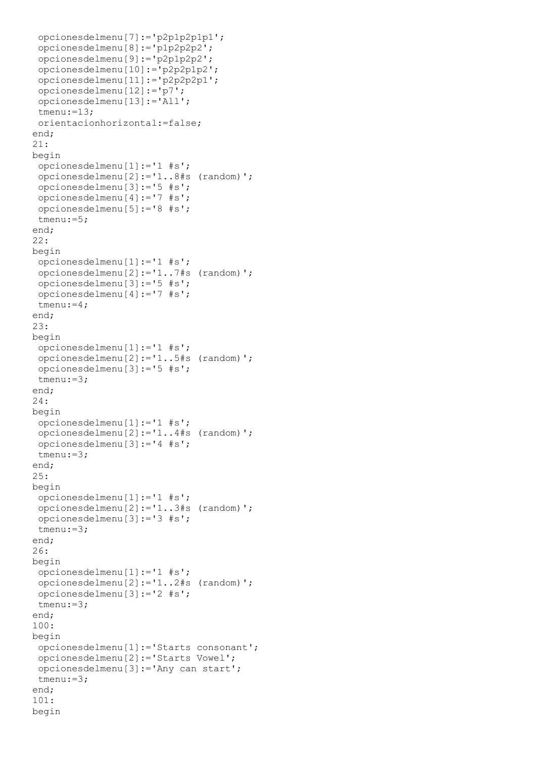```
opcionesdelmenu[7]:='p2p1p2p1p1';
opcionesdelmenu[8]:='p1p2p2p2';
opcionesdelmenu[9]:='p2p1p2p2';
opcionesdelmenu[10]:='p2p2p1p2';
opcionesdelmenu[11]:='p2p2p2p1';
opcionesdelmenu[12]:='p7';
opcionesdelmenu[13]:='All';
tmenu:=13;
orientacionhorizontal:=false;
end;
21:
begin
opcionesdelmenu[1]:='1 #s';
opcionesdelmenu[2]:='1..8#s (random)';
opcionesdelmenu[3]:='5 #s';
opcionesdelmenu[4]:='7 #s';
opcionesdelmenu[5]:='8 #s';
tmenu:=5;
end;
22:
begin
opcionesdelmenu[1]:='1 #s';
opcionesdelmenu[2]:='1..7#s (random)';
opcionesdelmenu[3]:='5 #s';
opcionesdelmenu[4]:='7 #s';
tmenu:=4;
end;
23:
begin
opcionesdelmenu[1]:='1 #s';
opcionesdelmenu[2]:='1..5#s (random)';
opcionesdelmenu[3]:='5 #s';
tmenu:=3;
end;
24:
begin
opcionesdelmenu[1]:='1 #s';
opcionesdelmenu[2]:='1..4#s (random)';
opcionesdelmenu[3]:='4 #s';
tmenu:=3;
end;
25:
begin
opcionesdelmenu[1]:='1 #s';
opcionesdelmenu[2]:='1..3#s (random)';
opcionesdelmenu[3]:='3 #s';
tmenu:=3;
end;
26:
begin
opcionesdelmenu[1]:='1 #s';
opcionesdelmenu[2]:='1..2#s (random)';
opcionesdelmenu[3]:='2 #s';
tmenu:=3;
end;
100:
begin
opcionesdelmenu[1]:='Starts consonant';
opcionesdelmenu[2]:='Starts Vowel';
opcionesdelmenu[3]:='Any can start';
tmenu:=3;
end;
101:
begin
```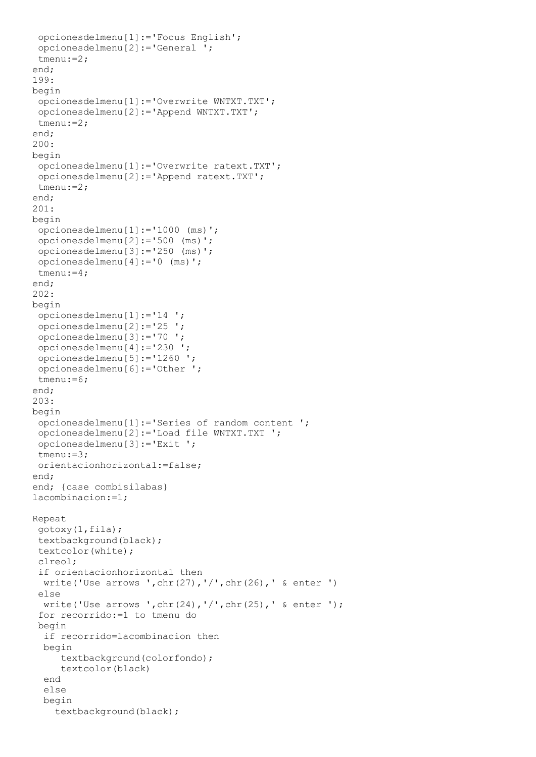```
opcionesdelmenu[1]:='Focus English';
 opcionesdelmenu[2]:='General ';
 tmenu:=2;
end;
199:
begin
 opcionesdelmenu[1]:='Overwrite WNTXT.TXT';
 opcionesdelmenu[2]:='Append WNTXT.TXT';
 tmenu:=2;
end;
200:
begin
 opcionesdelmenu[1]:='Overwrite ratext.TXT';
 opcionesdelmenu[2]:='Append ratext.TXT';
 tmenu:=2;
end;
201:
begin
 opcionesdelmenu[1]:='1000 (ms)';
 opcionesdelmenu[2]:='500 (ms)';
 opcionesdelmenu[3]:='250 (ms)';
 opcionesdelmenu[4]:='0 (ms)';
 tmenu:=4;
end;
202:
begin
 opcionesdelmenu[1]:='14 ';
 opcionesdelmenu[2]:='25 ';
 opcionesdelmenu[3]:='70 ';
 opcionesdelmenu[4]:='230 ';
 opcionesdelmenu[5]:='1260 ';
 opcionesdelmenu[6]:='Other ';
 tmenu:=6;
end;
203:
begin
 opcionesdelmenu[1]:='Series of random content ';
 opcionesdelmenu[2]:='Load file WNTXT.TXT ';
 opcionesdelmenu[3]:='Exit ';
 tmenu:=3;
 orientacionhorizontal:=false;
end;
end; { case combisilabas}
lacombinacion:=1;
Repeat
 gotoxy(1,fila);
 textbackground(black);
 textcolor(white);
 clreol;
 if orientacionhorizontal then
   write('Use arrows ',chr(27),'/',chr(26),' & enter ')
 else
   write('Use arrows ',chr(24),'/',chr(25),' & enter ');
 for recorrido:=1 to tmenu do
 begin
   if recorrido=lacombinacion then
   begin
      textbackground(colorfondo);
      textcolor(black)
   end
   else
   begin
     textbackground(black);
```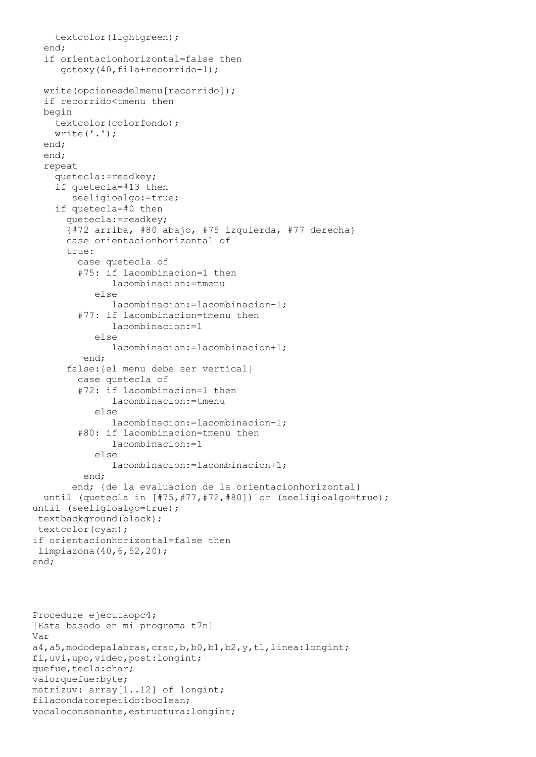```
 textcolor(lightgreen);
   end;
   if orientacionhorizontal=false then
      gotoxy(40,fila+recorrido-1);
   write(opcionesdelmenu[recorrido]);
   if recorrido<tmenu then
   begin
     textcolor(colorfondo);
     write('.');
   end;
   end;
   repeat
     quetecla:=readkey;
     if quetecla=#13 then
        seeligioalgo:=true;
     if quetecla=#0 then
       quetecla:=readkey;
       {#72 arriba, #80 abajo, #75 izquierda, #77 derecha}
       case orientacionhorizontal of
      true:
         case quetecla of
         #75: if lacombinacion=1 then
                lacombinacion:=tmenu
            else
               lacombinacion:=lacombinacion-1;
         #77: if lacombinacion=tmenu then
               lacombinacion:=1
            else
                lacombinacion:=lacombinacion+1;
          end;
       false:{el menu debe ser vertical}
         case quetecla of
         #72: if lacombinacion=1 then
                lacombinacion:=tmenu
            else
               lacombinacion:=lacombinacion-1;
         #80: if lacombinacion=tmenu then
                lacombinacion:=1
            else
               lacombinacion:=lacombinacion+1;
          end;
        end; {de la evaluacion de la orientacionhorizontal}
   until (quetecla in [#75,#77,#72,#80]) or (seeligioalgo=true);
until (seeligioalgo=true);
 textbackground(black);
 textcolor(cyan);
if orientacionhorizontal=false then
 limpiazona(40,6,52,20);
end;
Procedure ejecutaopc4;
{Esta basado en mi programa t7n}
Var
a4,a5,mododepalabras,crso,b,b0,b1,b2,y,t1,linea:longint;
fi,uvi,upo,video,post:longint;
quefue, tecla: char;
valorquefue:byte;
```

```
matrizuv: array[1..12] of longint;
filacondatorepetido:boolean;
```

```
vocaloconsonante, estructura: longint;
```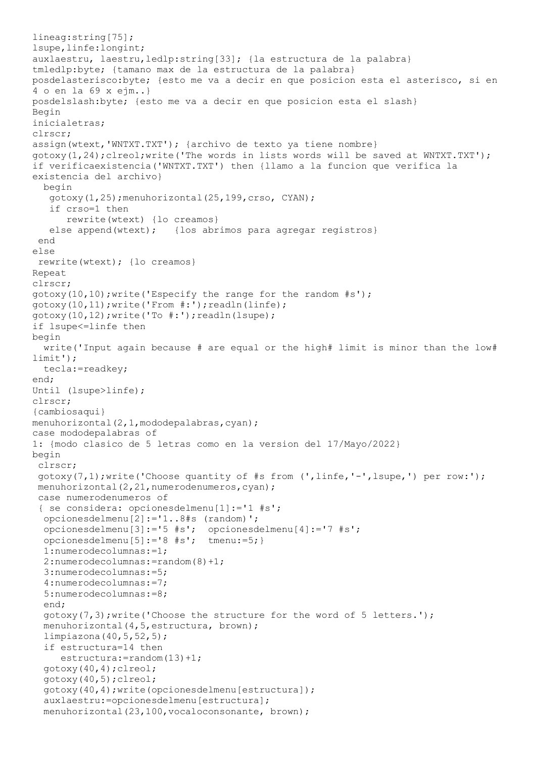```
lineag:string[75];
lsupe,linfe:longint;
auxlaestru, laestru, ledlp: string[33]; {la estructura de la palabra}
tmledlp:byte; {tamano max de la estructura de la palabra}
posdelasterisco:byte; {esto me va a decir en que posicion esta el asterisco, si en 
4 o en la 69 x ejm..}
posdelslash:byte; {esto me va a decir en que posicion esta el slash}
Begin
inicialetras;
clrscr;
assign(wtext,'WNTXT.TXT'); {archivo de texto ya tiene nombre}
qotoxy(1,24);clreol;write('The words in lists words will be saved at WNTXT.TXT');
if verificaexistencia('WNTXT.TXT') then {llamo a la funcion que verifica la 
existencia del archivo}
   begin
    gotoxy(1,25);menuhorizontal(25,199,crso, CYAN);
    if crso=1 then
       rewrite(wtext) {lo creamos}
   else append(wtext); {los abrimos para agregar registros}
 end
else
 rewrite(wtext); {lo creamos}
Repeat
clrscr;
qotoxy(10,10); write('Especify the range for the random #s');
gotoxy(10,11);write('From #:');readln(linfe);
gotoxy(10,12);write('To #:');readln(lsupe);
if lsupe<=linfe then
begin
   write('Input again because # are equal or the high# limit is minor than the low# 
limit');
   tecla:=readkey;
end;
Until (lsupe>linfe);
clrscr;
{cambiosaqui}
menuhorizontal(2,1,mododepalabras,cyan);
case mododepalabras of
1: {modo clasico de 5 letras como en la version del 17/Mayo/2022}
begin
 clrscr;
 gotoxy(7,1);write('Choose quantity of #s from (',linfe,'-',lsupe,') per row:');
menuhorizontal(2,21,numerodenumeros,cyan);
 case numerodenumeros of
 { se considera: opcionesdelmenu[1]:='1 #s';
   opcionesdelmenu[2]:='1..8#s (random)';
   opcionesdelmenu[3]:='5 #s'; opcionesdelmenu[4]:='7 #s';
   opcionesdelmenu[5]:='8 #s'; tmenu:=5;}
   1:numerodecolumnas:=1;
   2:numerodecolumnas:=random(8)+1;
   3:numerodecolumnas:=5;
   4:numerodecolumnas:=7;
   5:numerodecolumnas:=8;
   end;
  gotoxy(7,3); write('Choose the structure for the word of 5 letters.');
  menuhorizontal(4,5,estructura, brown);
   limpiazona(40,5,52,5);
   if estructura=14 then
      estructura:=random(13)+1;
   gotoxy(40,4);clreol;
   gotoxy(40,5);clreol;
   gotoxy(40,4);write(opcionesdelmenu[estructura]);
   auxlaestru:=opcionesdelmenu[estructura];
  menuhorizontal(23,100, vocaloconsonante, brown);
```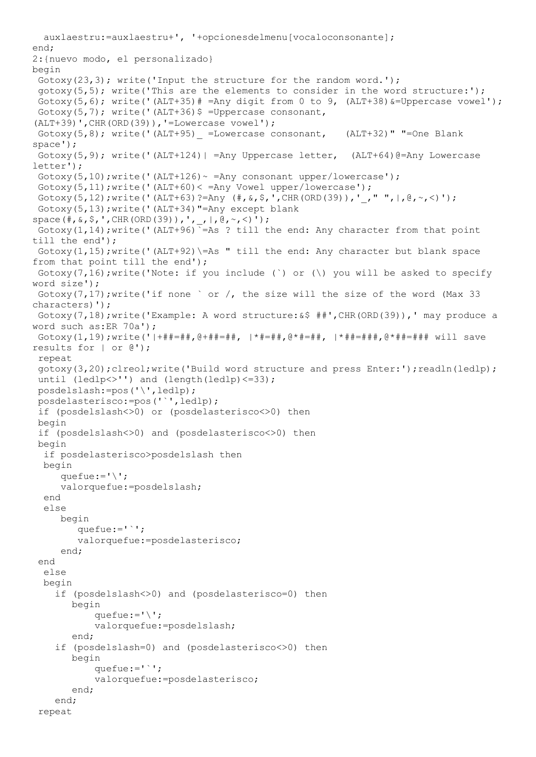```
 auxlaestru:=auxlaestru+', '+opcionesdelmenu[vocaloconsonante];
end;
2:{nuevo modo, el personalizado}
begin
 Gotoxy(23,3); write('Input the structure for the random word.');
 qotoxy(5,5); write('This are the elements to consider in the word structure:');
 Gotoxy(5,6); write('(ALT+35)# =Any digit from 0 to 9, (ALT+38) &=Uppercase vowel');
 Gotoxy(5,7); write('(ALT+36)$ =Uppercase consonant,
(ALT+39)',CHR(ORD(39)),'=Lowercase vowel');
 Gotoxy(5,8); write('(ALT+95) =Lowercase consonant, (ALT+32)" "=One Blank
space');
 Gotoxy(5,9); write('(ALT+124)| =Any Uppercase letter, (ALT+64)@=Any Lowercase
letter');
 Gotoxy(5,10); write('(ALT+126) ~ = Any consonant upper/lowercase');
 Gotoxy(5,11);write('(ALT+60)< =Any Vowel upper/lowercase');
 Gotoxy(5,12);write('(ALT+63)?=Any (+, \&, \hat{}, ', \text{CHR}(\text{ORD}(39)),','",,\theta, \sim, \leq)');
 Gotoxy(5,13);write('(ALT+34)"=Any except blank 
space(#,&,$,',CHR(ORD(39)),',_,|,@,~,<)');
 Gotoxy(1,14);write('(ALT+96)`=As ? till the end: Any character from that point 
till the end');
 Gotoxy(1,15); write('(ALT+92)\=As " till the end: Any character but blank space
from that point till the end');
 Gotoxy(7,16);write('Note: if you include (') or (\) you will be asked to specify
word size');
 Gotoxy(7,17); write('if none ` or /, the size will the size of the word (Max 33)
characters)');
 Gotoxy(7,18);write('Example: A word structure:&$ ##',CHR(ORD(39)),' may produce a 
word such as:ER 70a');
 Gotoxy(1,19);write('|+##=##,@+##=##, |*#=##,@*#=##, |*##=###,@*##=### will save 
results for | or @');
 repeat
 gotoxy(3,20);clreol;write('Build word structure and press Enter:');readln(ledlp);
 until (ledlp<>'') and (length(ledlp)<=33);
 posdelslash:=pos('\',ledlp);
 posdelasterisco:=pos('`',ledlp);
 if (posdelslash<>0) or (posdelasterisco<>0) then
 begin
 if (posdelslash<>0) and (posdelasterisco<>0) then
 begin
   if posdelasterisco>posdelslash then
   begin
     quefue:=\sqrt{'};
      valorquefue:=posdelslash;
   end
   else
      begin
         quefue:='`';
         valorquefue:=posdelasterisco;
      end;
 end 
   else
   begin
     if (posdelslash<>0) and (posdelasterisco=0) then
        begin
           quefue:=\sqrt{'};
            valorquefue:=posdelslash;
        end;
     if (posdelslash=0) and (posdelasterisco<>0) then
        begin
           quefue:='': valorquefue:=posdelasterisco;
        end;
     end;
 repeat
```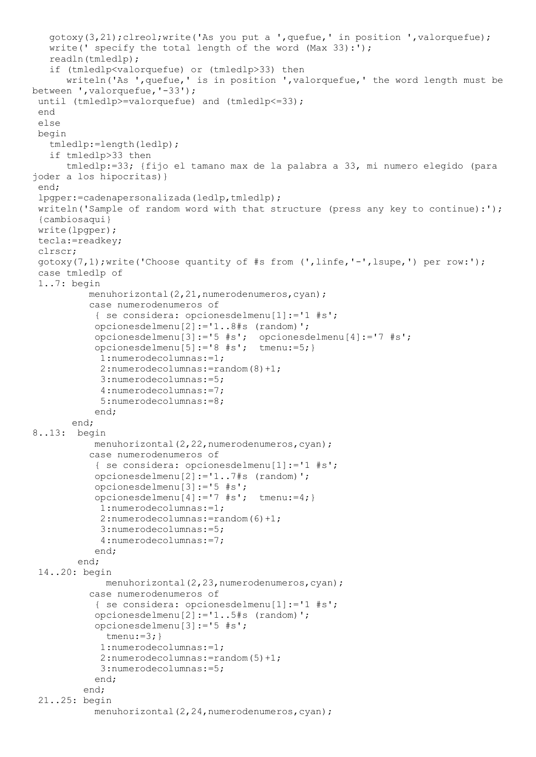```
 gotoxy(3,21);clreol;write('As you put a ',quefue,' in position ',valorquefue);
    write(' specify the total length of the word (Max 33):');
    readln(tmledlp);
    if (tmledlp<valorquefue) or (tmledlp>33) then
       writeln('As ',quefue,' is in position ',valorquefue,' the word length must be 
between ',valorquefue,'-33');
 until (tmledlp>=valorquefue) and (tmledlp<=33);
 end
 else
begin
    tmledlp:=length(ledlp);
    if tmledlp>33 then
       tmledlp:=33; {fijo el tamano max de la palabra a 33, mi numero elegido (para 
joder a los hipocritas)}
 end;
 lpgper:=cadenapersonalizada(ledlp,tmledlp);
 writeln('Sample of random word with that structure (press any key to continue):');
 {cambiosaqui}
 write(lpgper);
 tecla:=readkey;
 clrscr;
 qotoxy(7,1);write('Choose quantity of #s from (',linfe,'-'',lsuper,'') per row:');case tmledlp of
 1..7: begin
          menuhorizontal(2,21,numerodenumeros,cyan);
           case numerodenumeros of
            { se considera: opcionesdelmenu[1]:='1 #s';
            opcionesdelmenu[2]:='1..8#s (random)';
            opcionesdelmenu[3]:='5 #s'; opcionesdelmenu[4]:='7 #s';
            opcionesdelmenu[5]:='8 #s'; tmenu:=5;}
             1:numerodecolumnas:=1;
             2:numerodecolumnas:=random(8)+1;
             3:numerodecolumnas:=5;
             4:numerodecolumnas:=7;
             5:numerodecolumnas:=8;
            end;
        end;
8..13: begin
           menuhorizontal(2,22,numerodenumeros,cyan);
           case numerodenumeros of
            { se considera: opcionesdelmenu[1]:='1 #s';
            opcionesdelmenu[2]:='1..7#s (random)';
            opcionesdelmenu[3]:='5 #s'; 
            opcionesdelmenu[4]:='7 #s'; tmenu:=4;}
             1:numerodecolumnas:=1;
             2:numerodecolumnas:=random(6)+1;
             3:numerodecolumnas:=5;
             4:numerodecolumnas:=7;
            end;
         end;
 14..20: begin
             menuhorizontal(2,23,numerodenumeros,cyan);
           case numerodenumeros of
            { se considera: opcionesdelmenu[1]:='1 #s';
            opcionesdelmenu[2]:='1..5#s (random)';
            opcionesdelmenu[3]:='5 #s'; 
              tmenu:=3;}
             1:numerodecolumnas:=1;
             2:numerodecolumnas:=random(5)+1;
             3:numerodecolumnas:=5;
            end;
          end;
 21..25: begin
           menuhorizontal(2,24,numerodenumeros,cyan);
```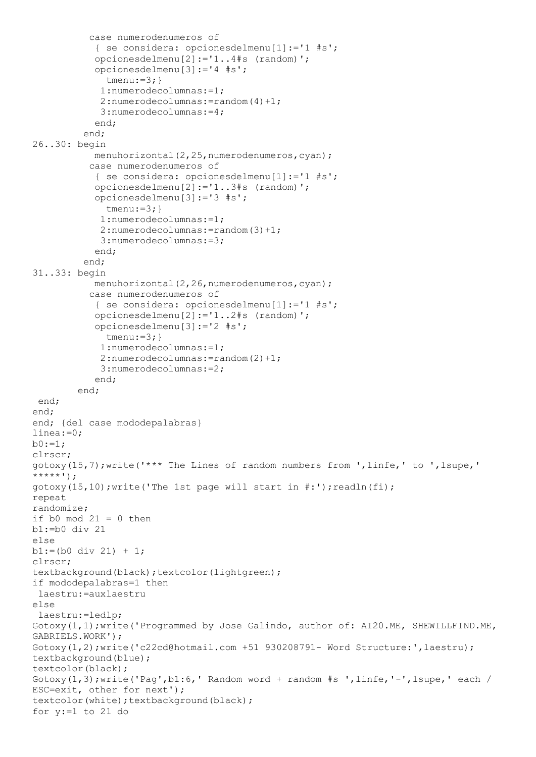```
 case numerodenumeros of
            { se considera: opcionesdelmenu[1]:='1 #s';
            opcionesdelmenu[2]:='1..4#s (random)';
            opcionesdelmenu[3]:='4 #s'; 
              tmenu:=3;}
             1:numerodecolumnas:=1;
             2:numerodecolumnas:=random(4)+1;
             3:numerodecolumnas:=4;
            end;
          end;
26..30: begin
           menuhorizontal(2,25,numerodenumeros,cyan);
           case numerodenumeros of
            { se considera: opcionesdelmenu[1]:='1 #s';
            opcionesdelmenu[2]:='1..3#s (random)';
            opcionesdelmenu[3]:='3 #s'; 
             tmenu:=3; }
             1:numerodecolumnas:=1;
             2:numerodecolumnas:=random(3)+1;
             3:numerodecolumnas:=3;
            end;
          end;
31..33: begin
           menuhorizontal(2,26,numerodenumeros,cyan);
           case numerodenumeros of
            { se considera: opcionesdelmenu[1]:='1 #s';
            opcionesdelmenu[2]:='1..2#s (random)';
            opcionesdelmenu[3]:='2 #s'; 
              tmenu:=3; }
             1:numerodecolumnas:=1;
             2:numerodecolumnas:=random(2)+1;
             3:numerodecolumnas:=2;
            end;
         end;
 end;
end;
end; {del case mododepalabras}
linea:=0;
b0:=1;clrscr;
gotoxy(15,7);write('*** The Lines of random numbers from ',linfe,' to ',lsupe,' 
******');
qotoxy(15,10); write('The 1st page will start in <code>#:</code>');readln(fi);repeat
randomize;
if b0 \mod 21 = 0 then
b1:=b0 div 21
else
b1:=(b0 \text{ div } 21) + 1;clrscr;
textbackground(black);textcolor(lightgreen);
if mododepalabras=1 then
 laestru:=auxlaestru
else
 laestru:=ledlp;
Gotoxy(1,1);write('Programmed by Jose Galindo, author of: AI20.ME, SHEWILLFIND.ME, 
GABRIELS.WORK');
Gotoxy(1,2);write('c22cd@hotmail.com +51 930208791- Word Structure:', laestru);
textbackground(blue);
textcolor(black);
Gotoxy(1,3);write('Pag',b1:6,' Random word + random #s ',linfe,'-',lsupe,' each /
ESC=exit, other for next');
textcolor(white);textbackground(black);
for y:=1 to 21 do
```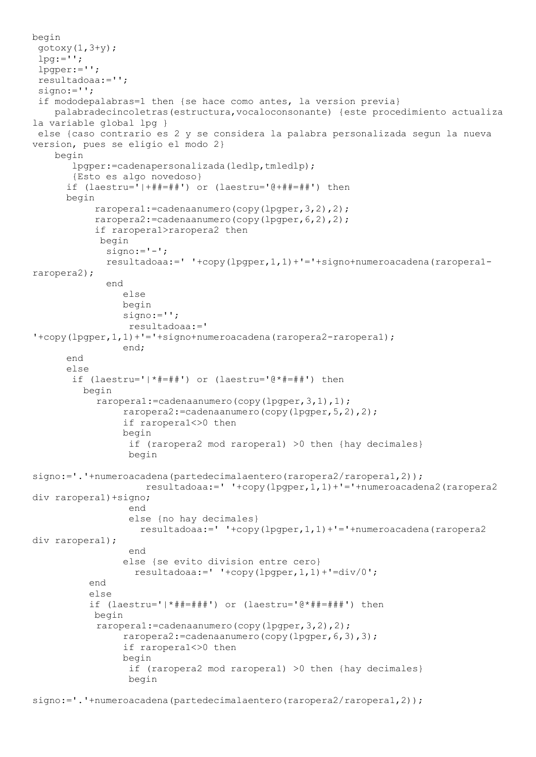```
begin
 gotoxy(1, 3+y);
 lpg:=';
 lpgper:='';
 resultadoaa:='';
 signo:='';
 if mododepalabras=1 then {se hace como antes, la version previa}
     palabradecincoletras(estructura,vocaloconsonante) {este procedimiento actualiza 
la variable global lpg }
 else {caso contrario es 2 y se considera la palabra personalizada segun la nueva 
version, pues se eligio el modo 2}
     begin
        lpgper:=cadenapersonalizada(ledlp,tmledlp);
        {Esto es algo novedoso}
       if (laestru='|+##=##') or (laestru='@+##=##') then
       begin
            raropera1:=cadenaanumero(copy(lpgper,3,2),2);
            raropera2:=cadenaanumero(copy(lpgper,6,2),2);
            if raropera1>raropera2 then
             begin
              signo:='-';
              resultadoaa:=' '+copy(lpgper,1,1)+'='+signo+numeroacadena(raropera1-
raropera2);
              end
                 else
                 begin
                signo:='';
                  resultadoaa:=' 
't copy (lpper, 1, 1) + '='+signo+numeroacadena (raropera2-raroperal); end;
       end
       else
        if (laestru='|*#=##') or (laestru='@*#=##') then
          begin
           raropera1:=cadenaanumero(copy(lpgper,3,1),1);
                 raropera2:=cadenaanumero(copy(lpgper,5,2),2);
                 if raropera1<>0 then
                begin
                  if (raropera2 mod raropera1) >0 then {hay decimales}
                 begin
signo:='.'+numeroacadena(partedecimalaentero(raropera2/raropera1,2));
                     resultadoaa:=' '+copy(lpgper,1,1)+'='+numeroacadena2(raropera2 
div raropera1)+signo;
                  end
                 else {no hay decimales}
                    resultadoaa:=' '+copy(lpgper,1,1)+'='+numeroacadena(raropera2 
div raropera1);
                  end
                 else {se evito division entre cero}
                  resultadoaa:=' '+copy(lpaper,1,1)+'=div/0'; end
           else
           if (laestru='|*##=###') or (laestru='@*##=###') then
            begin
           raropera1:=cadenaanumero(copy(lpgper,3,2),2);
                 raropera2:=cadenaanumero(copy(lpgper,6,3),3);
                 if raropera1<>0 then
                begin
                  if (raropera2 mod raropera1) >0 then {hay decimales}
                  begin
```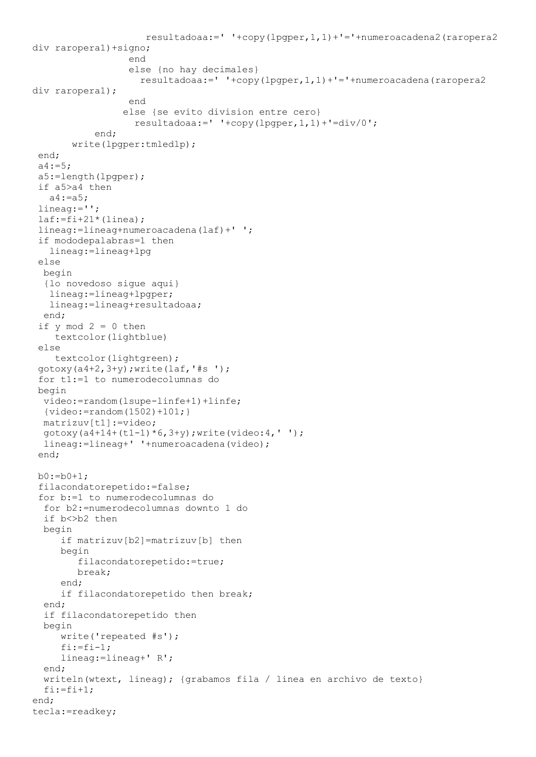```
 resultadoaa:=' '+copy(lpgper,1,1)+'='+numeroacadena2(raropera2 
div raropera1)+signo;
end and state the state of the state of the state of the state of the state of the state of the state of the s
                   else {no hay decimales}
                      resultadoaa:=' '+copy(lpgper,1,1)+'='+numeroacadena(raropera2 
div raropera1);
                    end
                   else {se evito division entre cero}
                    resultadoaa:=' '+copy(lpaper,1,1)+'=div/0'; end;
        write(lpgper:tmledlp);
 end;
 a4 := 5;a5:=length(lpgper);
 if a5>a4 then
    a4:=a5;
 lineag:='';
 laf:=fi+21*(linea);lineag:=lineag+numeroacadena(laf)+' ';
 if mododepalabras=1 then
    lineag:=lineag+lpg
 else
   begin
   {lo novedoso sigue aqui}
    lineag:=lineag+lpgper;
    lineag:=lineag+resultadoaa;
   end;
 if y \mod 2 = 0 then
     textcolor(lightblue)
 else
    textcolor(lightgreen);
 gotoxy(a4+2,3+y); write(laf,'#s ');
 for t1:=1 to numerodecolumnas do
 begin
   video:=random(lsupe-linfe+1)+linfe;
  {video:} = random(1502)+101; matrizuv[t1]:=video;
   gotoxy(a4+14+(t1-1)*6,3+y);write(video:4,' ');
   lineag:=lineag+' '+numeroacadena(video);
 end;
 b0:=b0+1;filacondatorepetido:=false;
 for b:=1 to numerodecolumnas do
   for b2:=numerodecolumnas downto 1 do
  if b<>b2 then
   begin
      if matrizuv[b2]=matrizuv[b] then
      begin
          filacondatorepetido:=true;
         break;
      end;
      if filacondatorepetido then break;
   end;
   if filacondatorepetido then
   begin
      write('repeated #s');
     f_i:=f_i-1; lineag:=lineag+' R';
   end;
   writeln(wtext, lineag); {grabamos fila / linea en archivo de texto}
  f_i:=f_i+1;end;
tecla:=readkey;
```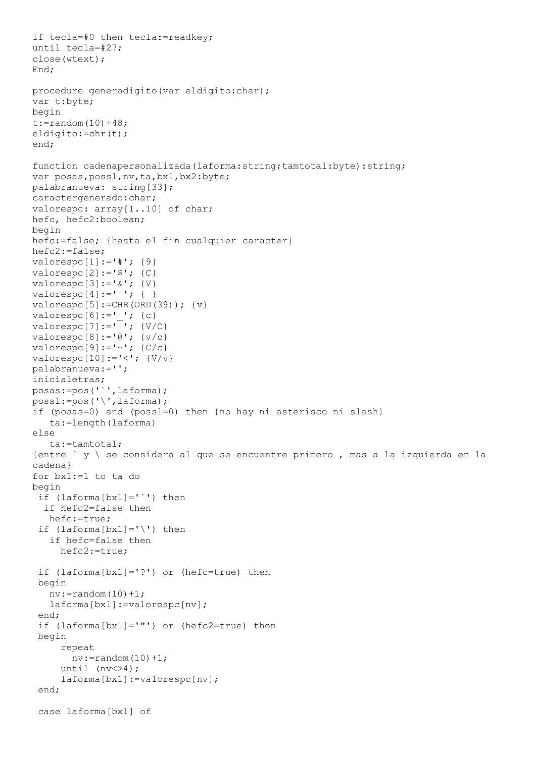```
if tecla=#0 then tecla:=readkey;
until tecla=#27;
close(wtext);
End;
procedure generadigito(var eldigito:char);
var t:byte;
begin
t:=random(10)+48;eldigito:=chr(t);
end;
function cadenapersonalizada(laforma:string;tamtotal:byte):string;
var posas, possl, nv, ta, bx1, bx2: byte;
palabranueva: string[33];
caractergenerado:char;
valorespc: array[1..10] of char;
hefc, hefc2:boolean;
begin
hefc:=false; {hasta el fin cualquier caracter}
hefc2:=false;
valorespc[1]:=' \#'; {9}
valorespc[2]:='$'; {C}valorespc[3]:='&';valorespc[4]:=' ' ; { }valorespc[5]:=CHR(ORD(39)); {v}
valorespc[6]:=' '; {c}valorespc[7]:='\overline{'}; \{V/C\}valorespc[8]:='@'; \{v/c\}valorespc[9]:='~'~'~; {C/c}valorespc[10]:='<-';palabranueva:='';
inicialetras;
posas:=pos('`',laforma);
possl:=pos('\',laforma);
if (posas=0) and (possl=0) then {no hay ni asterisco ni slash}
    ta:=length(laforma)
else
    ta:=tamtotal;
{entre ` y \ se considera al que se encuentre primero , mas a la izquierda en la
cadena}
for bx1:=1 to ta do
begin
 if (laforma[bx1]='`') then
   if hefc2=false then
    hefc:=true;
 if (laforma[bx1]=\prime\prime) then
    if hefc=false then
      hefc2:=true;
 if (laforma[bx1]='?') or (hefc=true) then
 begin
   nv:=random(10)+1; laforma[bx1]:=valorespc[nv];
 end;
 if (laforma[bx1]='"') or (hefc2=true) then
 begin
      repeat
      nv:=random(10)+1;
     until (nv\ll 24);
      laforma[bx1]:=valorespc[nv];
 end;
 case laforma[bx1] of
```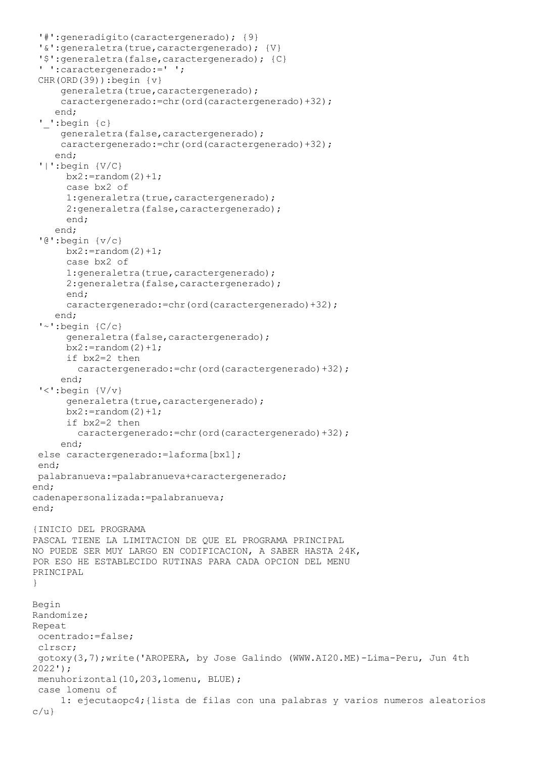```
'#':generadigito(caractergenerado); {9}
 '&':generaletra(true,caractergenerado); {V}
 '$':generaletra(false,caractergenerado); {C}
 ' ':caractergenerado:=' ';
 CHR(ORD(39)):begin {v}
     generaletra(true, caractergenerado);
      caractergenerado:=chr(ord(caractergenerado)+32);
     end;
 '_':begin {c}
     generaletra(false, caractergenerado);
      caractergenerado:=chr(ord(caractergenerado)+32);
     end;
 '|':begin {V/C}
      bx2:=random(2)+1; case bx2 of
      1: generaletra (true, caractergenerado);
      2: generaletra (false, caractergenerado);
       end;
     end;
 '@':begin {v/c}
      bx2:=random(2)+1; case bx2 of
      1: generaletra (true, caractergenerado);
       2:generaletra(false,caractergenerado); 
       end;
       caractergenerado:=chr(ord(caractergenerado)+32);
     end;
 '~':begin {C/c}
      generaletra(false, caractergenerado);
      bx2:=random(2)+1; if bx2=2 then
         caractergenerado:=chr(ord(caractergenerado)+32);
      end;
 '<':begin {V/v}
      generaletra(true, caractergenerado);
      bx2:=random(2)+1; if bx2=2 then
         caractergenerado:=chr(ord(caractergenerado)+32);
      end;
 else caractergenerado: = laforma[bx1];
 end;
palabranueva:=palabranueva+caractergenerado;
end;
cadenapersonalizada:=palabranueva;
end;
{INICIO DEL PROGRAMA
PASCAL TIENE LA LIMITACION DE QUE EL PROGRAMA PRINCIPAL
NO PUEDE SER MUY LARGO EN CODIFICACION, A SABER HASTA 24K,
POR ESO HE ESTABLECIDO RUTINAS PARA CADA OPCION DEL MENU
PRINCIPAL
}
Begin
Randomize;
Repeat
ocentrado:=false;
 clrscr;
 gotoxy(3,7);write('AROPERA, by Jose Galindo (WWW.AI20.ME)-Lima-Peru, Jun 4th 
2022');
 menuhorizontal(10,203,lomenu, BLUE);
 case lomenu of
      1: ejecutaopc4;{lista de filas con una palabras y varios numeros aleatorios 
c/u}
```